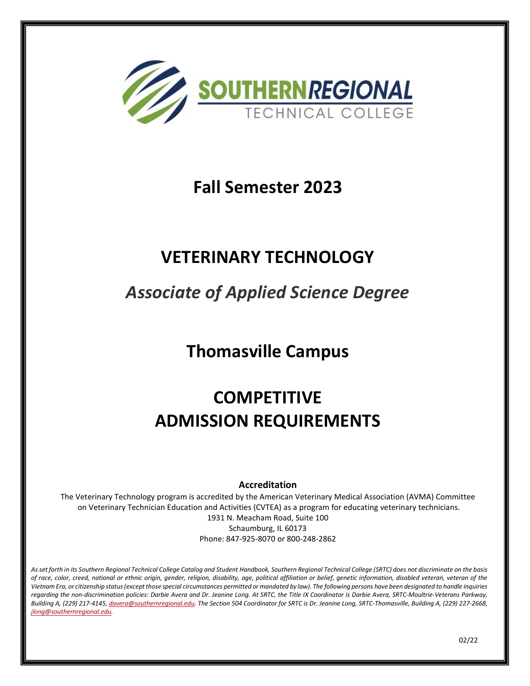

### **Fall Semester 2023**

### **VETERINARY TECHNOLOGY**

## *Associate of Applied Science Degree*

## **Thomasville Campus**

# **COMPETITIVE ADMISSION REQUIREMENTS**

### **Accreditation**

The Veterinary Technology program is accredited by the American Veterinary Medical Association (AVMA) Committee on Veterinary Technician Education and Activities (CVTEA) as a program for educating veterinary technicians.

1931 N. Meacham Road, Suite 100 Schaumburg, IL 60173 Phone: 847-925-8070 or 800-248-2862

*As set forth in its Southern Regional Technical College Catalog and Student Handbook, Southern Regional Technical College (SRTC) does not discriminate on the basis of race, color, creed, national or ethnic origin, gender, religion, disability, age, political affiliation or belief, genetic information, disabled veteran, veteran of the Vietnam Era, or citizenship status (except those special circumstances permitted or mandated by law). The following persons have been designated to handle inquiries regarding the non-discrimination policies: Darbie Avera and Dr. Jeanine Long. At SRTC, the Title IX Coordinator is Darbie Avera, SRTC-Moultrie-Veterans Parkway, Building A, (229) 217-4145[, davera@southernregional.edu.](mailto:davera@southernregional.edu) The Section 504 Coordinator for SRTC is Dr. Jeanine Long, SRTC-Thomasville, Building A, (229) 227-2668, [jlong@southernregional.edu.](mailto:jlong@southernregional.edu)*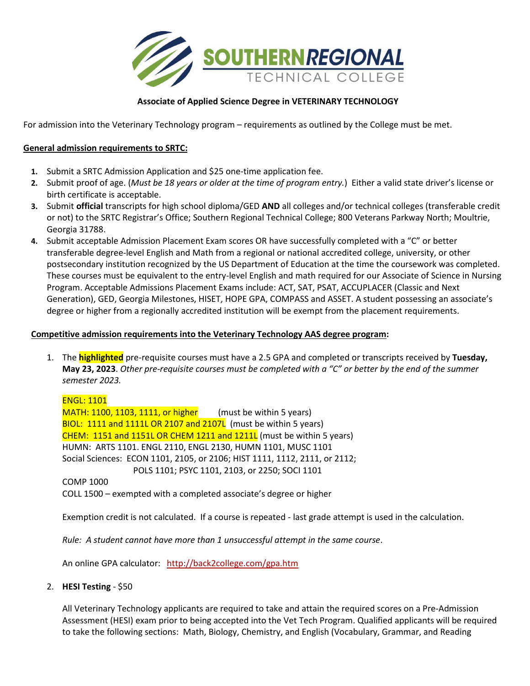

#### **Associate of Applied Science Degree in VETERINARY TECHNOLOGY**

For admission into the Veterinary Technology program – requirements as outlined by the College must be met.

#### **General admission requirements to SRTC:**

- **1.** Submit a SRTC Admission Application and \$25 one-time application fee.
- **2.** Submit proof of age. (*Must be 18 years or older at the time of program entry.*) Either a valid state driver's license or birth certificate is acceptable.
- **3.** Submit **official** transcripts for high school diploma/GED **AND** all colleges and/or technical colleges (transferable credit or not) to the SRTC Registrar's Office; Southern Regional Technical College; 800 Veterans Parkway North; Moultrie, Georgia 31788.
- **4.** Submit acceptable Admission Placement Exam scores OR have successfully completed with a "C" or better transferable degree-level English and Math from a regional or national accredited college, university, or other postsecondary institution recognized by the US Department of Education at the time the coursework was completed. These courses must be equivalent to the entry-level English and math required for our Associate of Science in Nursing Program. Acceptable Admissions Placement Exams include: ACT, SAT, PSAT, ACCUPLACER (Classic and Next Generation), GED, Georgia Milestones, HISET, HOPE GPA, COMPASS and ASSET. A student possessing an associate's degree or higher from a regionally accredited institution will be exempt from the placement requirements.

#### **Competitive admission requirements into the Veterinary Technology AAS degree program:**

1. The **highlighted** pre-requisite courses must have a 2.5 GPA and completed or transcripts received by **Tuesday, May 23, 2023**. *Other pre-requisite courses must be completed with a "C" or better by the end of the summer semester 2023.*

#### ENGL: 1101

 $MATH: 1100, 1103, 1111, or higher$  (must be within 5 years) BIOL: 1111 and 1111L OR 2107 and 2107L (must be within 5 years) CHEM: 1151 and 1151L OR CHEM 1211 and 1211L (must be within 5 years) HUMN: ARTS 1101. ENGL 2110, ENGL 2130, HUMN 1101, MUSC 1101 Social Sciences: ECON 1101, 2105, or 2106; HIST 1111, 1112, 2111, or 2112; POLS 1101; PSYC 1101, 2103, or 2250; SOCI 1101

COMP 1000

COLL 1500 – exempted with a completed associate's degree or higher

Exemption credit is not calculated. If a course is repeated - last grade attempt is used in the calculation.

*Rule: A student cannot have more than 1 unsuccessful attempt in the same course*.

An online GPA calculator: <http://back2college.com/gpa.htm>

2. **HESI Testing** - \$50

All Veterinary Technology applicants are required to take and attain the required scores on a Pre-Admission Assessment (HESI) exam prior to being accepted into the Vet Tech Program. Qualified applicants will be required to take the following sections: Math, Biology, Chemistry, and English (Vocabulary, Grammar, and Reading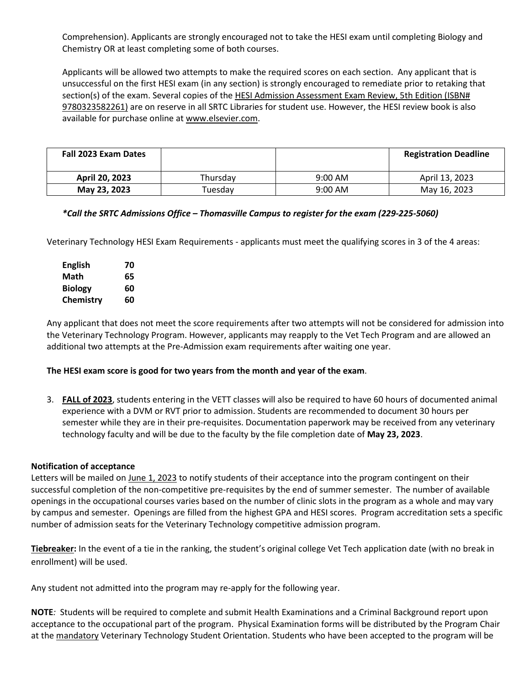Comprehension). Applicants are strongly encouraged not to take the HESI exam until completing Biology and Chemistry OR at least completing some of both courses.

Applicants will be allowed two attempts to make the required scores on each section. Any applicant that is unsuccessful on the first HESI exam (in any section) is strongly encouraged to remediate prior to retaking that section(s) of the exam. Several copies of the HESI Admission Assessment Exam Review, 5th Edition (ISBN# 9780323582261) are on reserve in all SRTC Libraries for student use. However, the HESI review book is also available for purchase online a[t www.elsevier.com.](http://www.elsevier.com/)

| <b>Fall 2023 Exam Dates</b> |          |           | <b>Registration Deadline</b> |
|-----------------------------|----------|-----------|------------------------------|
| April 20, 2023              | Thursdav | $9:00$ AM | April 13, 2023               |
| May 23, 2023                | Tuesdav  | $9:00$ AM | May 16, 2023                 |

#### *\*Call the SRTC Admissions Office – Thomasville Campus to register for the exam (229-225-5060)*

Veterinary Technology HESI Exam Requirements - applicants must meet the qualifying scores in 3 of the 4 areas:

| <b>English</b> | 70 |
|----------------|----|
| Math           | 65 |
| <b>Biology</b> | 60 |
| Chemistry      | 60 |

Any applicant that does not meet the score requirements after two attempts will not be considered for admission into the Veterinary Technology Program. However, applicants may reapply to the Vet Tech Program and are allowed an additional two attempts at the Pre-Admission exam requirements after waiting one year.

#### **The HESI exam score is good for two years from the month and year of the exam**.

3. **FALL of 2023**, students entering in the VETT classes will also be required to have 60 hours of documented animal experience with a DVM or RVT prior to admission. Students are recommended to document 30 hours per semester while they are in their pre-requisites. Documentation paperwork may be received from any veterinary technology faculty and will be due to the faculty by the file completion date of **May 23, 2023**.

#### **Notification of acceptance**

Letters will be mailed on June 1, 2023 to notify students of their acceptance into the program contingent on their successful completion of the non-competitive pre-requisites by the end of summer semester. The number of available openings in the occupational courses varies based on the number of clinic slots in the program as a whole and may vary by campus and semester. Openings are filled from the highest GPA and HESI scores. Program accreditation sets a specific number of admission seats for the Veterinary Technology competitive admission program.

**Tiebreaker:** In the event of a tie in the ranking, the student's original college Vet Tech application date (with no break in enrollment) will be used.

Any student not admitted into the program may re-apply for the following year.

**NOTE***:* Students will be required to complete and submit Health Examinations and a Criminal Background report upon acceptance to the occupational part of the program. Physical Examination forms will be distributed by the Program Chair at the mandatory Veterinary Technology Student Orientation. Students who have been accepted to the program will be